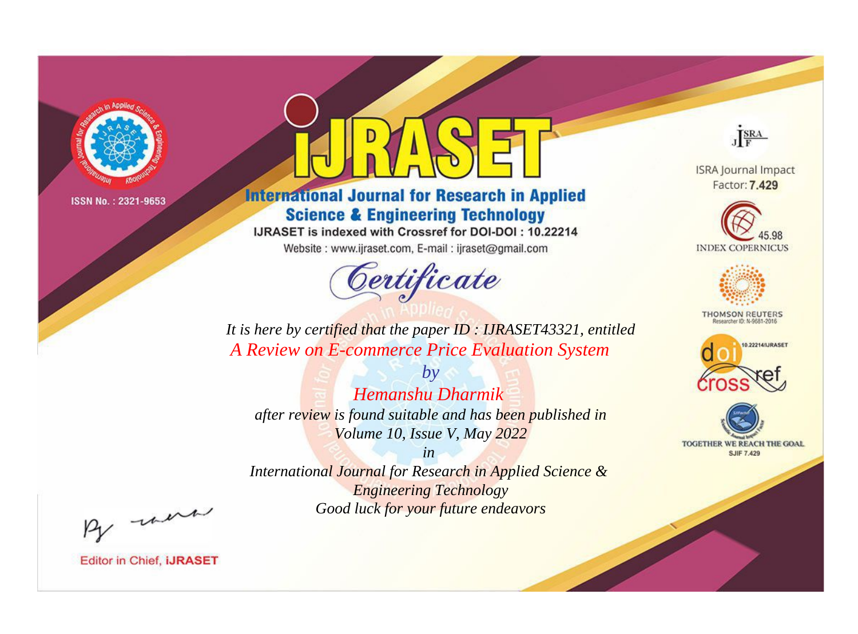

# **International Journal for Research in Applied Science & Engineering Technology**

IJRASET is indexed with Crossref for DOI-DOI: 10.22214

Website: www.ijraset.com, E-mail: ijraset@gmail.com



JERA

**ISRA Journal Impact** Factor: 7.429





**THOMSON REUTERS** 



TOGETHER WE REACH THE GOAL **SJIF 7.429** 

It is here by certified that the paper ID : IJRASET43321, entitled A Review on E-commerce Price Evaluation System

Hemanshu Dharmik after review is found suitable and has been published in Volume 10, Issue V, May 2022

 $b\nu$ 

 $in$ International Journal for Research in Applied Science & **Engineering Technology** Good luck for your future endeavors

By morn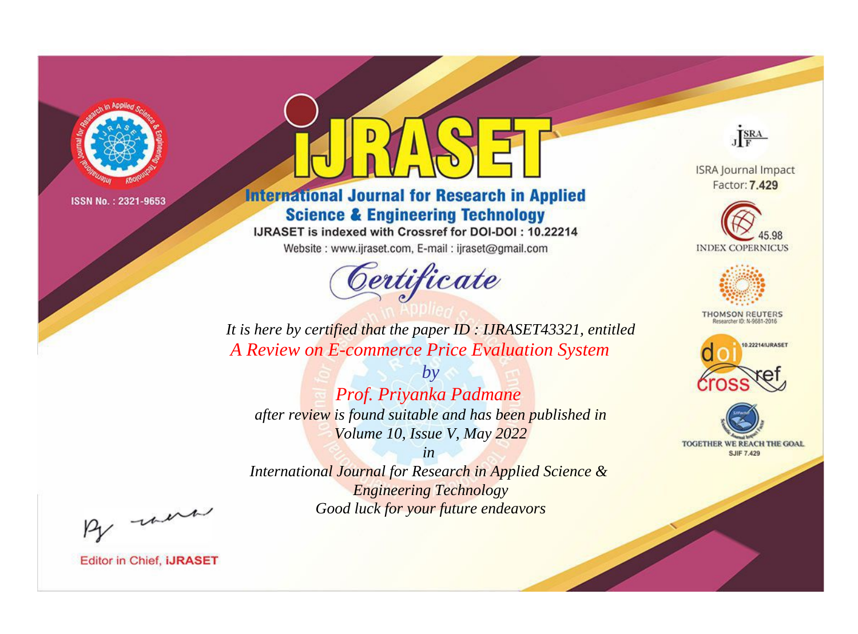

# **International Journal for Research in Applied Science & Engineering Technology**

IJRASET is indexed with Crossref for DOI-DOI: 10.22214

Website: www.ijraset.com, E-mail: ijraset@gmail.com



JERA

**ISRA Journal Impact** Factor: 7.429





**THOMSON REUTERS** 



TOGETHER WE REACH THE GOAL **SJIF 7.429** 

*It is here by certified that the paper ID : IJRASET43321, entitled A Review on E-commerce Price Evaluation System*

*by Prof. Priyanka Padmane after review is found suitable and has been published in Volume 10, Issue V, May 2022*

*in International Journal for Research in Applied Science &* 

*Engineering Technology Good luck for your future endeavors*

By morn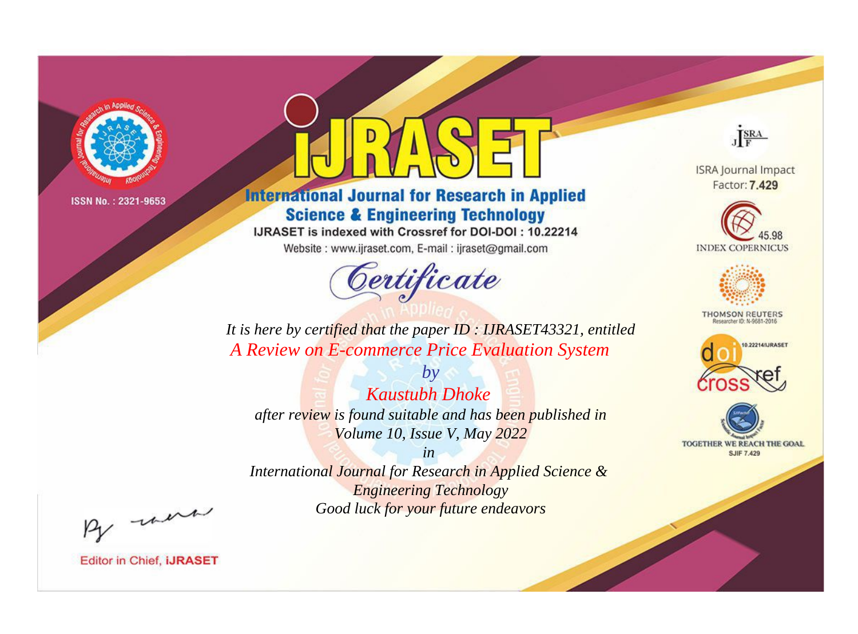

# **International Journal for Research in Applied Science & Engineering Technology**

IJRASET is indexed with Crossref for DOI-DOI: 10.22214

Website: www.ijraset.com, E-mail: ijraset@gmail.com



JERA

**ISRA Journal Impact** Factor: 7.429





**THOMSON REUTERS** 



TOGETHER WE REACH THE GOAL **SJIF 7.429** 

*It is here by certified that the paper ID : IJRASET43321, entitled A Review on E-commerce Price Evaluation System*

*Kaustubh Dhoke after review is found suitable and has been published in Volume 10, Issue V, May 2022*

*by*

*in* 

*International Journal for Research in Applied Science & Engineering Technology Good luck for your future endeavors*

By morn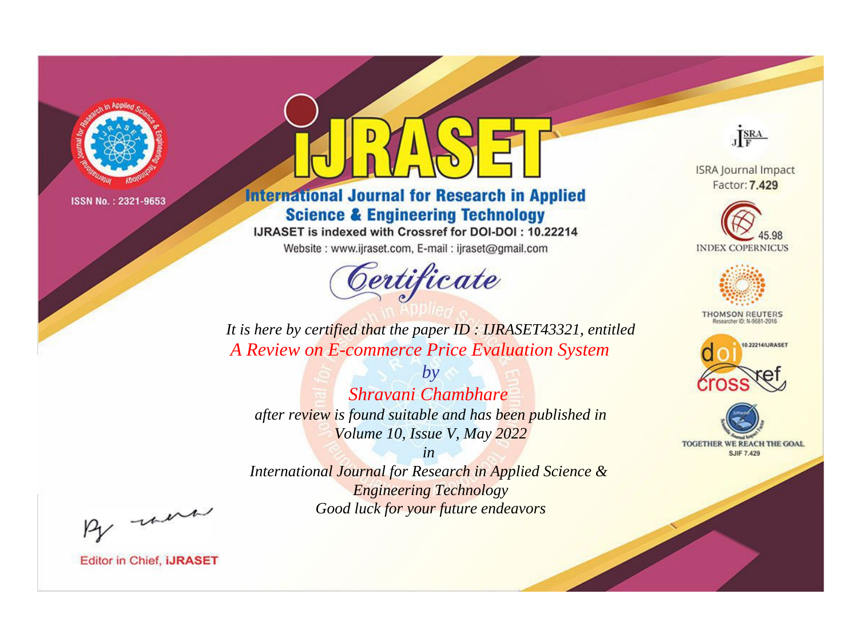

# **International Journal for Research in Applied Science & Engineering Technology**

IJRASET is indexed with Crossref for DOI-DOI: 10.22214

Website: www.ijraset.com, E-mail: ijraset@gmail.com



JERA

**ISRA Journal Impact** Factor: 7.429





**THOMSON REUTERS** 



TOGETHER WE REACH THE GOAL **SJIF 7.429** 

It is here by certified that the paper ID : IJRASET43321, entitled A Review on E-commerce Price Evaluation System

Shravani Chambhare after review is found suitable and has been published in Volume 10, Issue V, May 2022

 $b\nu$ 

 $in$ International Journal for Research in Applied Science & **Engineering Technology** Good luck for your future endeavors

By morn